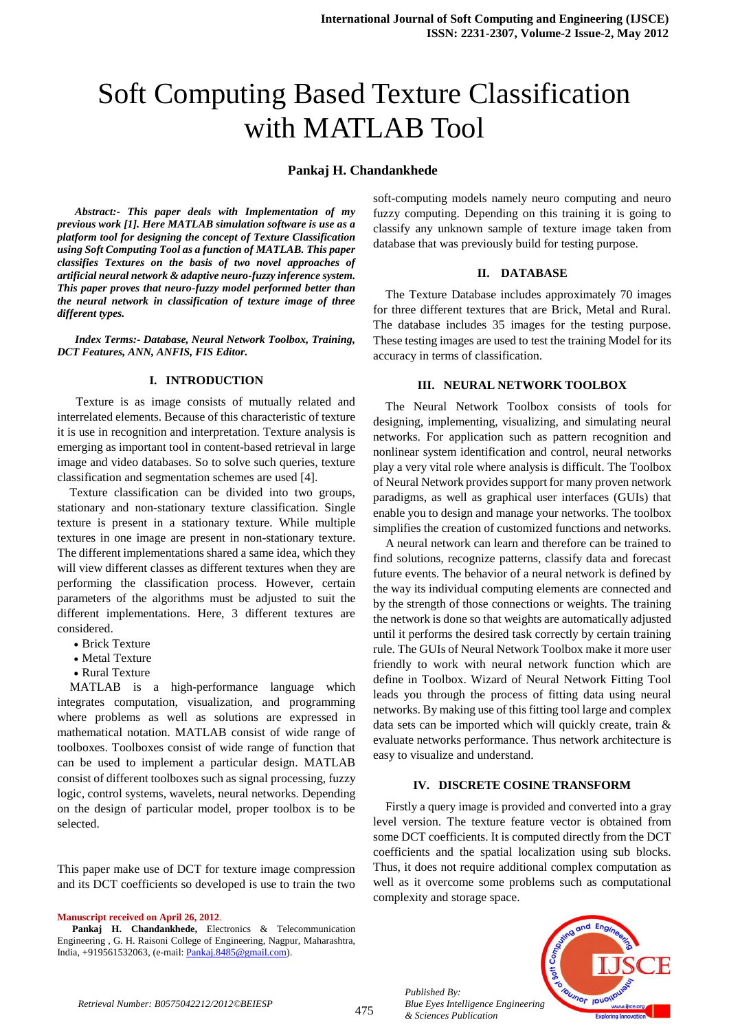# Soft Computing Based Texture Classification with MATLAB Tool

## **Pankaj H. Chandankhede**

*Abstract:- This paper deals with Implementation of my previous work [1]. Here MATLAB simulation software is use as a platform tool for designing the concept of Texture Classification using Soft Computing Tool as a function of MATLAB. This paper classifies Textures on the basis of two novel approaches of artificial neural network & adaptive neuro-fuzzy inference system. This paper proves that neuro-fuzzy model performed better than the neural network in classification of texture image of three different types.*

*Index Terms:- Database, Neural Network Toolbox, Training, DCT Features, ANN, ANFIS, FIS Editor.*

#### **I. INTRODUCTION**

 Texture is as image consists of mutually related and interrelated elements. Because of this characteristic of texture it is use in recognition and interpretation. Texture analysis is emerging as important tool in content-based retrieval in large image and video databases. So to solve such queries, texture classification and segmentation schemes are used [4].

Texture classification can be divided into two groups, stationary and non-stationary texture classification. Single texture is present in a stationary texture. While multiple textures in one image are present in non-stationary texture. The different implementations shared a same idea, which they will view different classes as different textures when they are performing the classification process. However, certain parameters of the algorithms must be adjusted to suit the different implementations. Here, 3 different textures are considered.

- Brick Texture
- Metal Texture
- Rural Texture

MATLAB is a high-performance language which integrates computation, visualization, and programming where problems as well as solutions are expressed in mathematical notation. MATLAB consist of wide range of toolboxes. Toolboxes consist of wide range of function that can be used to implement a particular design. MATLAB consist of different toolboxes such as signal processing, fuzzy logic, control systems, wavelets, neural networks. Depending on the design of particular model, proper toolbox is to be selected.

This paper make use of DCT for texture image compression and its DCT coefficients so developed is use to train the two

**Manuscript received on April 26, 2012**.

**Pankaj H. Chandankhede,** Electronics & Telecommunication Engineering , G. H. Raisoni College of Engineering, Nagpur, Maharashtra, India, +919561532063, (e-mail[: Pankaj.8485@gmail.com\)](mailto:Pankaj.8485@gmail.com).

soft-computing models namely neuro computing and neuro fuzzy computing. Depending on this training it is going to classify any unknown sample of texture image taken from database that was previously build for testing purpose.

## **II. DATABASE**

The Texture Database includes approximately 70 images for three different textures that are Brick, Metal and Rural. The database includes 35 images for the testing purpose. These testing images are used to test the training Model for its accuracy in terms of classification.

## **III. NEURAL NETWORK TOOLBOX**

The Neural Network Toolbox consists of tools for designing, implementing, visualizing, and simulating neural networks. For application such as pattern recognition and nonlinear system identification and control, neural networks play a very vital role where analysis is difficult. The Toolbox of Neural Network provides support for many proven network paradigms, as well as graphical user interfaces (GUIs) that enable you to design and manage your networks. The toolbox simplifies the creation of customized functions and networks.

A neural network can learn and therefore can be trained to find solutions, recognize patterns, classify data and forecast future events. The behavior of a neural network is defined by the way its individual computing elements are connected and by the strength of those connections or weights. The training the network is done so that weights are automatically adjusted until it performs the desired task correctly by certain training rule. The GUIs of Neural Network Toolbox make it more user friendly to work with neural network function which are define in Toolbox. Wizard of Neural Network Fitting Tool leads you through the process of fitting data using neural networks. By making use of this fitting tool large and complex data sets can be imported which will quickly create, train & evaluate networks performance. Thus network architecture is easy to visualize and understand.

#### **IV. DISCRETE COSINE TRANSFORM**

Firstly a query image is provided and converted into a gray level version. The texture feature vector is obtained from some DCT coefficients. It is computed directly from the DCT coefficients and the spatial localization using sub blocks. Thus, it does not require additional complex computation as well as it overcome some problems such as computational complexity and storage space.



*Retrieval Number: B0575042212/2012©BEIESP*

*Published By:*

*& Sciences Publication*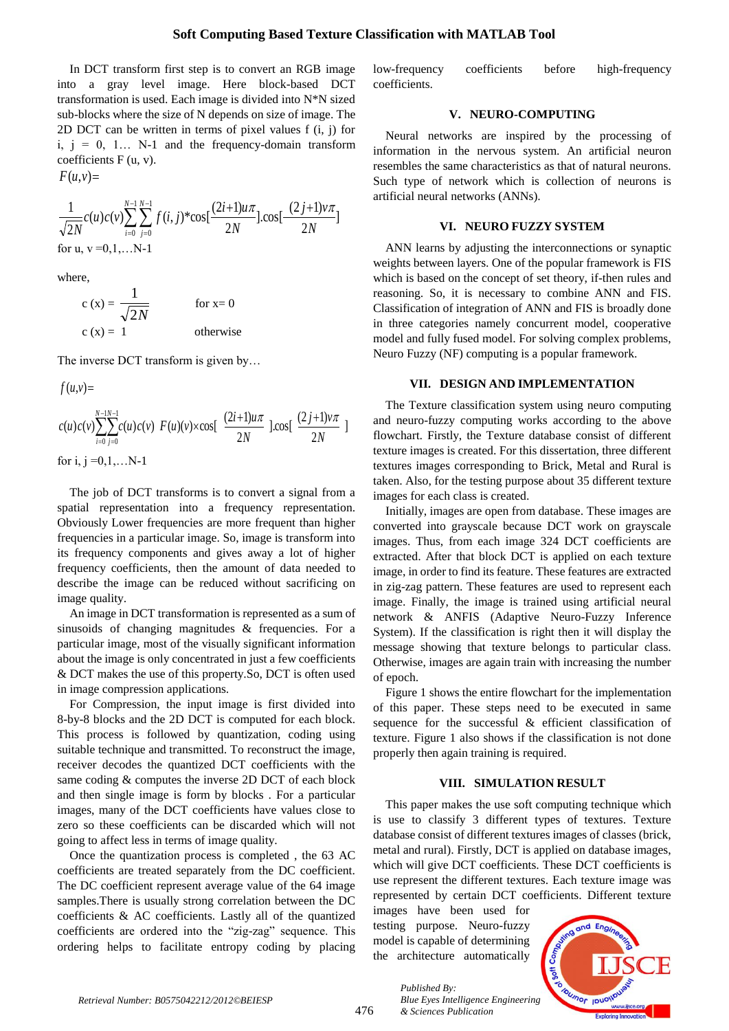In DCT transform first step is to convert an RGB image into a gray level image. Here block-based DCT transformation is used. Each image is divided into N\*N sized sub-blocks where the size of N depends on size of image. The 2D DCT can be written in terms of pixel values f (i, j) for i,  $j = 0, 1...$  N-1 and the frequency-domain transform coefficients F (u, v).

 $F(u, v) =$ 

$$
\frac{1}{\sqrt{2N}}c(u)c(v)\sum_{i=0}^{N-1}\sum_{j=0}^{N-1}f(i,j)^*\cos\left[\frac{(2i+1)u\pi}{2N}\right]\cos\left[\frac{(2j+1)v\pi}{2N}\right]
$$
  
for u, v=0,1,...N-1

where,

$$
c(x) = \frac{1}{\sqrt{2N}}
$$
 for x= 0  
c(x) = 1 otherwise

The inverse DCT transform is given by...

 $f(u, v) =$ 

 $\frac{1}{2}$ 2  $\cos[\frac{(2 j + 1)}{1}$ 2  $(u)c(v)\sum_{n=1}^{N-1}c(u)c(v) F(u)(v)\times \cos[\frac{(2i+1)i}{N}]$ 1 0 1  $\frac{1}{0}$  2N 2N *j v N*  $c(u)c(v)$   $\sum_{n=1}^{\infty} \sum_{n=1}^{\infty} c(u)c(v) F(u)(v) \times \cos \left[ \frac{(2i+1)u}{2} \right]$ *N i N j*  $\sum_{i=1}^{N-1} c(u)c(v) F(u)(v) \times \cos\left[\frac{(2i+1)u\pi}{2N}\right] \cdot \cos\left[\frac{(2j+1)v\pi}{2N}\right]$ -1  $\equiv$ -1  $=$ ( for i,  $j = 0, 1, \ldots N-1$ 

The job of DCT transforms is to convert a signal from a spatial representation into a frequency representation. Obviously Lower frequencies are more frequent than higher frequencies in a particular image. So, image is transform into its frequency components and gives away a lot of higher frequency coefficients, then the amount of data needed to describe the image can be reduced without sacrificing on image quality.

An image in DCT transformation is represented as a sum of sinusoids of changing magnitudes & frequencies. For a particular image, most of the visually significant information about the image is only concentrated in just a few coefficients & DCT makes the use of this property.So, DCT is often used in image compression applications.

For Compression, the input image is first divided into 8-by-8 blocks and the 2D DCT is computed for each block. This process is followed by quantization, coding using suitable technique and transmitted. To reconstruct the image, receiver decodes the quantized DCT coefficients with the same coding & computes the inverse 2D DCT of each block and then single image is form by blocks . For a particular images, many of the DCT coefficients have values close to zero so these coefficients can be discarded which will not going to affect less in terms of image quality.

Once the quantization process is completed , the 63 AC coefficients are treated separately from the DC coefficient. The DC coefficient represent average value of the 64 image samples.There is usually strong correlation between the DC coefficients & AC coefficients. Lastly all of the quantized coefficients are ordered into the "zig-zag" sequence. This ordering helps to facilitate entropy coding by placing low-frequency coefficients before high-frequency coefficients.

#### **V. NEURO-COMPUTING**

Neural networks are inspired by the processing of information in the nervous system. An artificial neuron resembles the same characteristics as that of natural neurons. Such type of network which is collection of neurons is artificial neural networks (ANNs).

#### **VI. NEURO FUZZY SYSTEM**

ANN learns by adjusting the interconnections or synaptic weights between layers. One of the popular framework is FIS which is based on the concept of set theory, if-then rules and reasoning. So, it is necessary to combine ANN and FIS. Classification of integration of ANN and FIS is broadly done in three categories namely concurrent model, cooperative model and fully fused model. For solving complex problems, Neuro Fuzzy (NF) computing is a popular framework.

#### **VII. DESIGN AND IMPLEMENTATION**

The Texture classification system using neuro computing and neuro-fuzzy computing works according to the above flowchart. Firstly, the Texture database consist of different texture images is created. For this dissertation, three different textures images corresponding to Brick, Metal and Rural is taken. Also, for the testing purpose about 35 different texture images for each class is created.

Initially, images are open from database. These images are converted into grayscale because DCT work on grayscale images. Thus, from each image 324 DCT coefficients are extracted. After that block DCT is applied on each texture image, in order to find its feature. These features are extracted in zig-zag pattern. These features are used to represent each image. Finally, the image is trained using artificial neural network & ANFIS (Adaptive Neuro-Fuzzy Inference System). If the classification is right then it will display the message showing that texture belongs to particular class. Otherwise, images are again train with increasing the number of epoch.

Figure 1 shows the entire flowchart for the implementation of this paper. These steps need to be executed in same sequence for the successful & efficient classification of texture. Figure 1 also shows if the classification is not done properly then again training is required.

#### **VIII. SIMULATION RESULT**

This paper makes the use soft computing technique which is use to classify 3 different types of textures. Texture database consist of different textures images of classes (brick, metal and rural). Firstly, DCT is applied on database images, which will give DCT coefficients. These DCT coefficients is use represent the different textures. Each texture image was represented by certain DCT coefficients. Different texture

images have been used for testing purpose. Neuro-fuzzy model is capable of determining the architecture automatically

*& Sciences Publication* 

*Published By:*

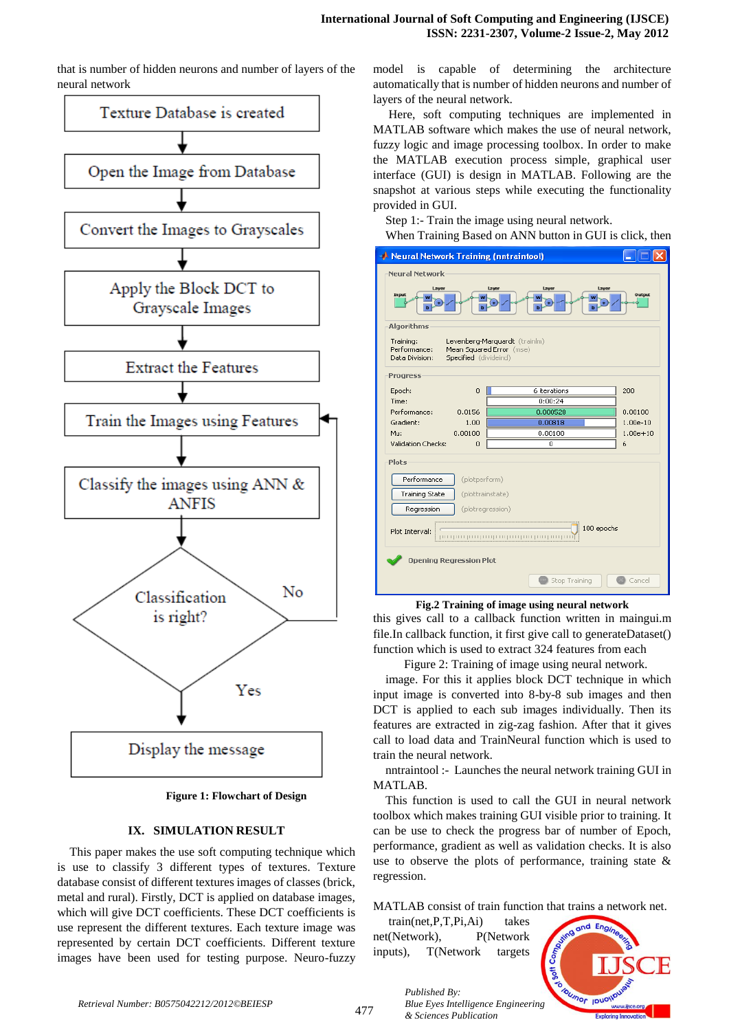that is number of hidden neurons and number of layers of the neural network



**Figure 1: Flowchart of Design**

#### **IX. SIMULATION RESULT**

This paper makes the use soft computing technique which is use to classify 3 different types of textures. Texture database consist of different textures images of classes (brick, metal and rural). Firstly, DCT is applied on database images, which will give DCT coefficients. These DCT coefficients is use represent the different textures. Each texture image was represented by certain DCT coefficients. Different texture images have been used for testing purpose. Neuro-fuzzy

model is capable of determining the architecture automatically that is number of hidden neurons and number of layers of the neural network.

Here, soft computing techniques are implemented in MATLAB software which makes the use of neural network, fuzzy logic and image processing toolbox. In order to make the MATLAB execution process simple, graphical user interface (GUI) is design in MATLAB. Following are the snapshot at various steps while executing the functionality provided in GUI.

Step 1:- Train the image using neural network.

When Training Based on ANN button in GUI is click, then

| Neural Network Training (nntraintool)                                                                                             |               |              |  |  |  |
|-----------------------------------------------------------------------------------------------------------------------------------|---------------|--------------|--|--|--|
| <b>Neural Network</b>                                                                                                             |               |              |  |  |  |
| Layer<br>La yer<br>Layer<br>Layer                                                                                                 |               |              |  |  |  |
| Output<br>Input                                                                                                                   |               |              |  |  |  |
| Algorithms                                                                                                                        |               |              |  |  |  |
| Levenberg-Marquardt (trainlm)<br>Training:<br>Performance:<br>Mean Squared Error (mse)<br>Specified (divideind)<br>Data Division: |               |              |  |  |  |
| Progress                                                                                                                          |               |              |  |  |  |
| Epoch:<br>0                                                                                                                       | 6 iterations  | 200          |  |  |  |
| Time:                                                                                                                             | 0:00:24       |              |  |  |  |
| Performance:<br>0.0156                                                                                                            | 0.000528      | 0.00100      |  |  |  |
| Gradient:<br>1.00                                                                                                                 | 0.00818       | $1.00e-10$   |  |  |  |
| 0.00100<br>Mu:                                                                                                                    | 0.00100       | $1.00e + 10$ |  |  |  |
| Validation Checks:<br>0                                                                                                           | 0             | 6            |  |  |  |
| Plots                                                                                                                             |               |              |  |  |  |
| Performance<br>(plotperform)                                                                                                      |               |              |  |  |  |
| <b>Training State</b><br>(plottrainstate)                                                                                         |               |              |  |  |  |
| Regression<br>(plotregression)                                                                                                    |               |              |  |  |  |
|                                                                                                                                   |               |              |  |  |  |
| 100 epochs<br>Plot Interval:<br>րուցությունը ուզացքուցությունը ուզաց                                                              |               |              |  |  |  |
| <b>Opening Regression Plot</b>                                                                                                    |               |              |  |  |  |
|                                                                                                                                   | Stop Training | Cancel       |  |  |  |

**Fig.2 Training of image using neural network**

this gives call to a callback function written in maingui.m file.In callback function, it first give call to generateDataset() function which is used to extract 324 features from each

 Figure 2: Training of image using neural network. image. For this it applies block DCT technique in which input image is converted into 8-by-8 sub images and then DCT is applied to each sub images individually. Then its features are extracted in zig-zag fashion. After that it gives call to load data and TrainNeural function which is used to train the neural network.

nntraintool :- Launches the neural network training GUI in MATLAB.

This function is used to call the GUI in neural network toolbox which makes training GUI visible prior to training. It can be use to check the progress bar of number of Epoch, performance, gradient as well as validation checks. It is also use to observe the plots of performance, training state & regression.

MATLAB consist of train function that trains a network net.

 train(net,P,T,Pi,Ai) takes net(Network), P(Network inputs), T(Network targets

*& Sciences Publication* 

*Published By:*

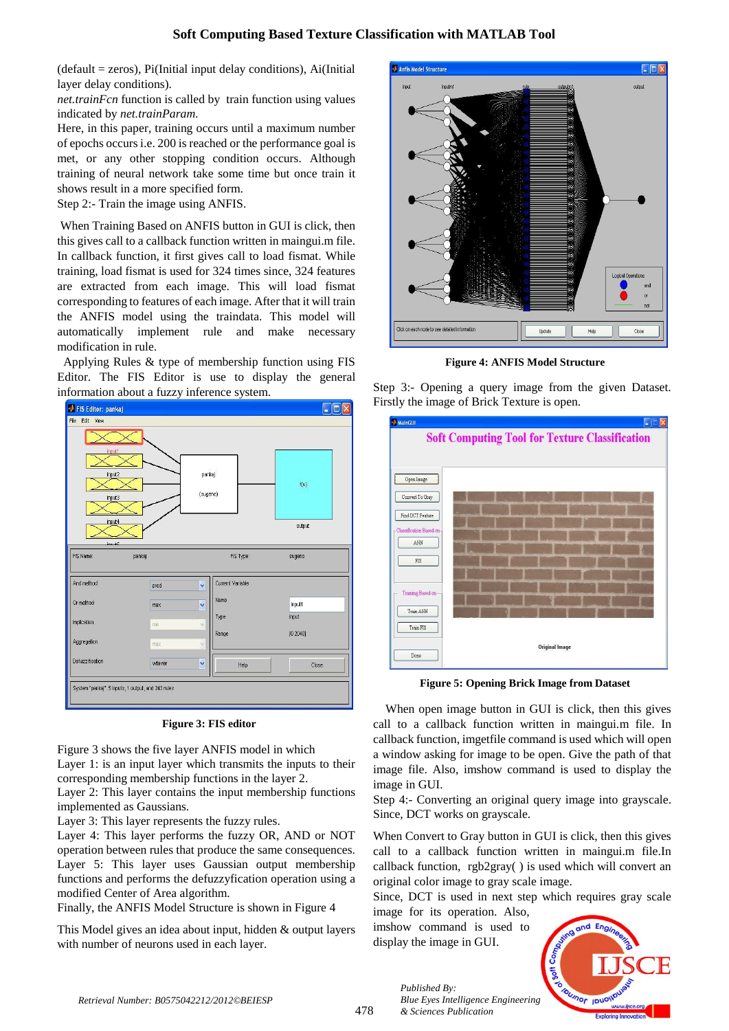$(default = zeros), Pi(Initial input delay conditions), Ai(Initial)$ layer delay conditions).

*net.trainFcn* function is called by train function using values indicated by *net.trainParam.*

Here, in this paper, training occurs until a maximum number of epochs occurs i.e. 200 is reached or the performance goal is met, or any other stopping condition occurs. Although training of neural network take some time but once train it shows result in a more specified form.

Step 2:- Train the image using ANFIS.

When Training Based on ANFIS button in GUI is click, then this gives call to a callback function written in maingui.m file. In callback function, it first gives call to load fismat. While training, load fismat is used for 324 times since, 324 features are extracted from each image. This will load fismat corresponding to features of each image. After that it will train the ANFIS model using the traindata. This model will automatically implement rule and make necessary modification in rule.

 Applying Rules & type of membership function using FIS Editor. The FIS Editor is use to display the general information about a fuzzy inference system.



**Figure 3: FIS editor**

Figure 3 shows the five layer ANFIS model in which Layer 1: is an input layer which transmits the inputs to their corresponding membership functions in the layer 2.

Layer 2: This layer contains the input membership functions implemented as Gaussians.

Layer 3: This layer represents the fuzzy rules.

Layer 4: This layer performs the fuzzy OR, AND or NOT operation between rules that produce the same consequences. Layer 5: This layer uses Gaussian output membership functions and performs the defuzzyfication operation using a modified Center of Area algorithm.

Finally, the ANFIS Model Structure is shown in Figure 4

This Model gives an idea about input, hidden & output layers with number of neurons used in each layer.



**Figure 4: ANFIS Model Structure**

Step 3:- Opening a query image from the given Dataset. Firstly the image of Brick Texture is open.



**Figure 5: Opening Brick Image from Dataset**

When open image button in GUI is click, then this gives call to a callback function written in maingui.m file. In callback function, imgetfile command is used which will open a window asking for image to be open. Give the path of that image file. Also, imshow command is used to display the image in GUI.

Step 4:- Converting an original query image into grayscale. Since, DCT works on grayscale.

When Convert to Gray button in GUI is click, then this gives call to a callback function written in maingui.m file.In callback function, rgb2gray( ) is used which will convert an original color image to gray scale image.

Since, DCT is used in next step which requires gray scale

image for its operation. Also, imshow command is used to display the image in GUI.



*Published By: Blue Eyes Intelligence Engineering & Sciences Publication*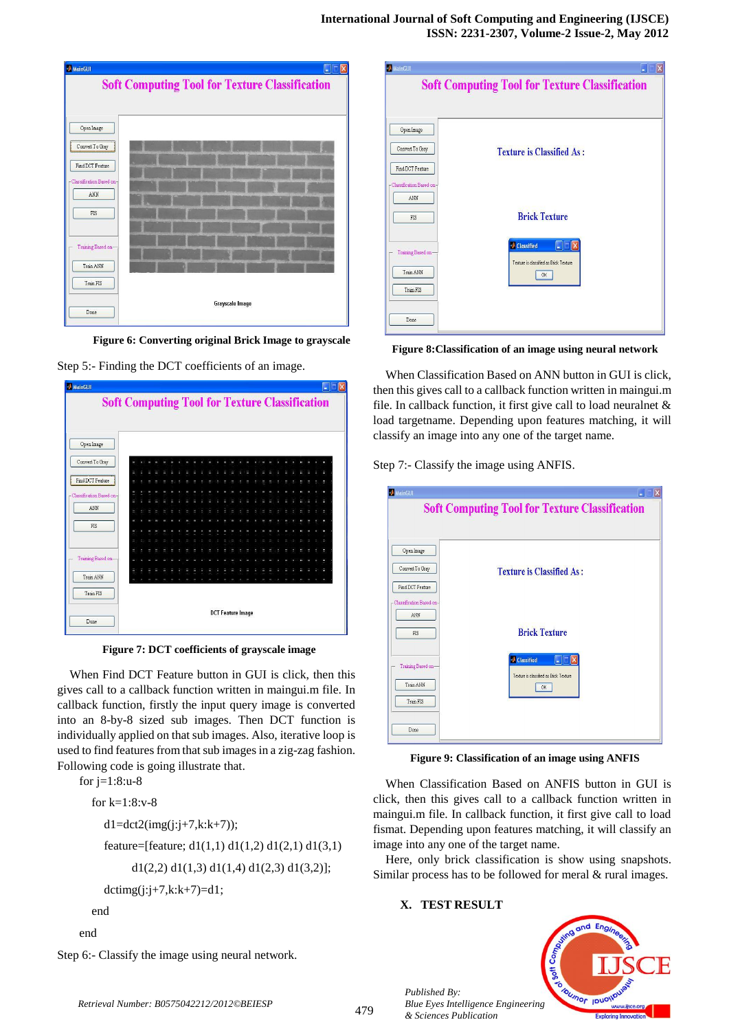| MainGUI                    | ь                                                     |
|----------------------------|-------------------------------------------------------|
|                            | <b>Soft Computing Tool for Texture Classification</b> |
|                            |                                                       |
|                            |                                                       |
| Open Image                 |                                                       |
| Convert To Gray            |                                                       |
| Find DCT Feature           |                                                       |
| - Classification Based on- |                                                       |
| ANN                        |                                                       |
| FIS                        |                                                       |
|                            |                                                       |
| Training Based on-         |                                                       |
| Train ANN                  |                                                       |
|                            |                                                       |
| Train FIS                  |                                                       |
| Done                       | Grayscale Image                                       |
|                            |                                                       |

**Figure 6: Converting original Brick Image to grayscale**





**Figure 7: DCT coefficients of grayscale image**

When Find DCT Feature button in GUI is click, then this gives call to a callback function written in maingui.m file. In callback function, firstly the input query image is converted into an 8-by-8 sized sub images. Then DCT function is individually applied on that sub images. Also, iterative loop is used to find features from that sub images in a zig-zag fashion. Following code is going illustrate that.

```
for j=1:8:u-8 for k=1:8:v-8
  dl = det2(img(i:j+7,k:k+7));feature=[feature; d1(1,1) d1(1,2) d1(2,1) d1(3,1)d1(2,2) d1(1,3) d1(1,4) d1(2,3) d1(3,2)];
  dctimg(j:j+7,k:k+7)=d1;
end
```
end

Step 6:- Classify the image using neural network.

|                                  | <b>Soft Computing Tool for Texture Classification</b>                                                             |
|----------------------------------|-------------------------------------------------------------------------------------------------------------------|
| Open Image                       |                                                                                                                   |
| Convert To Gray                  | <b>Texture is Classified As:</b>                                                                                  |
| Find DCT Feature                 |                                                                                                                   |
| -Classification Based on-<br>ANN |                                                                                                                   |
| FIS                              | <b>Brick Texture</b>                                                                                              |
| Training Based on-               | Classified<br>$\overline{\phantom{a}}$ $\overline{\phantom{a}}$ $\overline{\phantom{a}}$ $\overline{\phantom{a}}$ |
| Train ANN                        | Texture is classified as Brick Texture<br><b>OK</b>                                                               |
| Train FIS                        |                                                                                                                   |

**Figure 8:Classification of an image using neural network**

When Classification Based on ANN button in GUI is click, then this gives call to a callback function written in maingui.m file. In callback function, it first give call to load neuralnet & load targetname. Depending upon features matching, it will classify an image into any one of the target name.

Step 7:- Classify the image using ANFIS.



**Figure 9: Classification of an image using ANFIS**

When Classification Based on ANFIS button in GUI is click, then this gives call to a callback function written in maingui.m file. In callback function, it first give call to load fismat. Depending upon features matching, it will classify an image into any one of the target name.

Here, only brick classification is show using snapshots. Similar process has to be followed for meral & rural images.

# **X. TEST RESULT**



*Published By: Blue Eyes Intelligence Engineering & Sciences Publication*